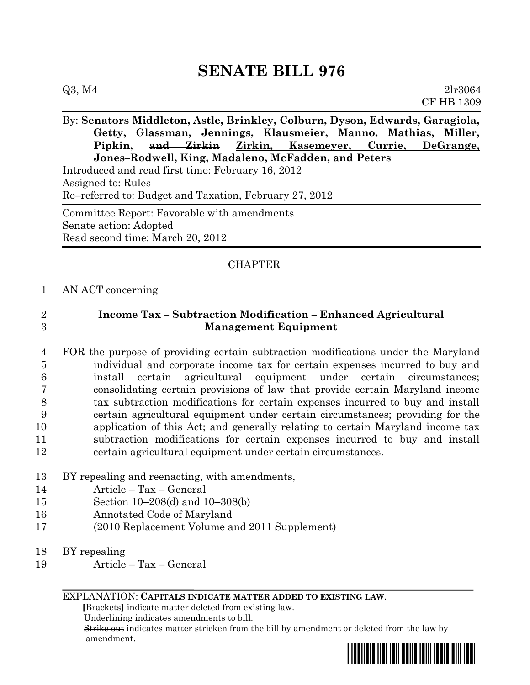| Q3, M4<br>2lr3064                                                                                                                              |
|------------------------------------------------------------------------------------------------------------------------------------------------|
| <b>CF HB 1309</b>                                                                                                                              |
| By: Senators Middleton, Astle, Brinkley, Colburn, Dyson, Edwards, Garagiola,<br>Getty, Glassman, Jennings, Klausmeier, Manno, Mathias, Miller, |
| Pipkin, and Zirkin Zirkin, Kasemeyer, Currie, DeGrange,<br>Jones-Rodwell, King, Madaleno, McFadden, and Peters                                 |
| Introduced and read first time: February 16, 2012<br>Assigned to: Rules<br>Re-referred to: Budget and Taxation, February 27, 2012              |
| Committee Report: Favorable with amendments<br>Senate action: Adopted<br>Read second time: March 20, 2012                                      |
| CHAPTER                                                                                                                                        |

1 AN ACT concerning

## 2 **Income Tax – Subtraction Modification – Enhanced Agricultural**  3 **Management Equipment**

 FOR the purpose of providing certain subtraction modifications under the Maryland individual and corporate income tax for certain expenses incurred to buy and install certain agricultural equipment under certain circumstances; consolidating certain provisions of law that provide certain Maryland income tax subtraction modifications for certain expenses incurred to buy and install certain agricultural equipment under certain circumstances; providing for the application of this Act; and generally relating to certain Maryland income tax subtraction modifications for certain expenses incurred to buy and install certain agricultural equipment under certain circumstances.

- 13 BY repealing and reenacting, with amendments,
- 14 Article Tax General
- 15 Section 10–208(d) and 10–308(b)
- 16 Annotated Code of Maryland
- 17 (2010 Replacement Volume and 2011 Supplement)
- 18 BY repealing
- 19 Article Tax General

### EXPLANATION: **CAPITALS INDICATE MATTER ADDED TO EXISTING LAW**.

 **[**Brackets**]** indicate matter deleted from existing law.

Underlining indicates amendments to bill.

 Strike out indicates matter stricken from the bill by amendment or deleted from the law by amendment.

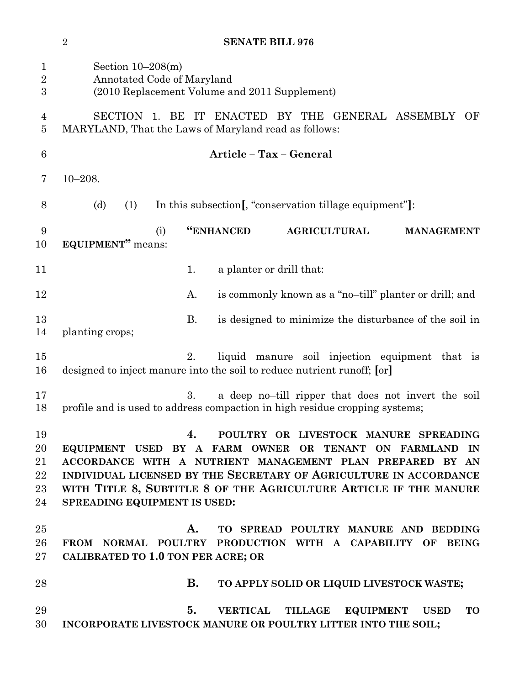| $\mathbf 1$<br>$\overline{2}$<br>3 | Section $10-208(m)$<br>Annotated Code of Maryland<br>(2010 Replacement Volume and 2011 Supplement)                                                                                                                                                                                                                                            |
|------------------------------------|-----------------------------------------------------------------------------------------------------------------------------------------------------------------------------------------------------------------------------------------------------------------------------------------------------------------------------------------------|
| 4<br>$\overline{5}$                | SECTION 1. BE IT ENACTED BY THE GENERAL ASSEMBLY<br>OF<br>MARYLAND, That the Laws of Maryland read as follows:                                                                                                                                                                                                                                |
| 6                                  | Article - Tax - General                                                                                                                                                                                                                                                                                                                       |
| 7                                  | $10 - 208.$                                                                                                                                                                                                                                                                                                                                   |
| 8                                  | (d)<br>In this subsection [, "conservation tillage equipment"]:<br>(1)                                                                                                                                                                                                                                                                        |
| 9<br>10                            | "ENHANCED<br><b>AGRICULTURAL</b><br>(i)<br><b>MANAGEMENT</b><br><b>EQUIPMENT</b> " means:                                                                                                                                                                                                                                                     |
| 11                                 | a planter or drill that:<br>1.                                                                                                                                                                                                                                                                                                                |
| 12                                 | is commonly known as a "no-till" planter or drill; and<br>A.                                                                                                                                                                                                                                                                                  |
| 13<br>14                           | <b>B.</b><br>is designed to minimize the disturbance of the soil in<br>planting crops;                                                                                                                                                                                                                                                        |
| 15<br>16                           | 2.<br>liquid manure soil injection equipment that is<br>designed to inject manure into the soil to reduce nutrient runoff; [or]                                                                                                                                                                                                               |
| 17<br>18                           | a deep no-till ripper that does not invert the soil<br>3.<br>profile and is used to address compaction in high residue cropping systems;                                                                                                                                                                                                      |
| 19<br>20<br>21<br>22<br>23<br>24   | POULTRY OR LIVESTOCK MANURE SPREADING<br>4.<br>EQUIPMENT USED BY A FARM OWNER OR TENANT ON FARMLAND IN<br>ACCORDANCE WITH A NUTRIENT MANAGEMENT PLAN PREPARED BY AN<br>INDIVIDUAL LICENSED BY THE SECRETARY OF AGRICULTURE IN ACCORDANCE<br>WITH TITLE 8, SUBTITLE 8 OF THE AGRICULTURE ARTICLE IF THE MANURE<br>SPREADING EQUIPMENT IS USED: |
| 25<br>26<br>$27\,$                 | TO SPREAD POULTRY MANURE AND BEDDING<br>A.<br>FROM NORMAL POULTRY PRODUCTION WITH A CAPABILITY OF<br><b>BEING</b><br>CALIBRATED TO 1.0 TON PER ACRE; OR                                                                                                                                                                                       |
| 28                                 | <b>B.</b><br>TO APPLY SOLID OR LIQUID LIVESTOCK WASTE;                                                                                                                                                                                                                                                                                        |
| 29<br>30                           | 5.<br><b>VERTICAL</b><br>TILLAGE<br>EQUIPMENT USED<br><b>TO</b><br>INCORPORATE LIVESTOCK MANURE OR POULTRY LITTER INTO THE SOIL;                                                                                                                                                                                                              |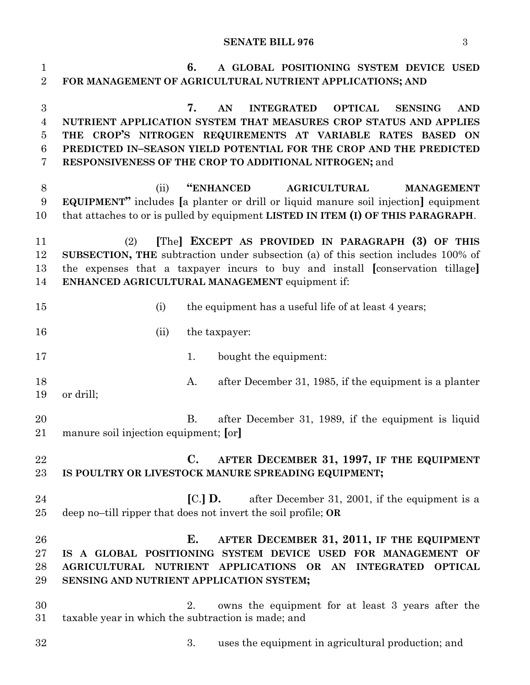## **SENATE BILL 976** 3

| $\mathbf{1}$<br>$\overline{2}$     | 6.<br>A GLOBAL POSITIONING SYSTEM DEVICE USED<br>FOR MANAGEMENT OF AGRICULTURAL NUTRIENT APPLICATIONS; AND                                                                                                                                                                                                                                          |
|------------------------------------|-----------------------------------------------------------------------------------------------------------------------------------------------------------------------------------------------------------------------------------------------------------------------------------------------------------------------------------------------------|
| 3<br>$\overline{4}$<br>5<br>6<br>7 | 7.<br>AN<br><b>INTEGRATED</b><br><b>OPTICAL</b><br><b>SENSING</b><br><b>AND</b><br>NUTRIENT APPLICATION SYSTEM THAT MEASURES CROP STATUS AND APPLIES<br>THE CROP'S NITROGEN REQUIREMENTS AT VARIABLE RATES BASED ON<br>PREDICTED IN-SEASON YIELD POTENTIAL FOR THE CROP AND THE PREDICTED<br>RESPONSIVENESS OF THE CROP TO ADDITIONAL NITROGEN; and |
| 8<br>9<br>10                       | "ENHANCED<br><b>AGRICULTURAL</b><br>(ii)<br><b>MANAGEMENT</b><br><b>EQUIPMENT</b> " includes [a planter or drill or liquid manure soil injection] equipment<br>that attaches to or is pulled by equipment LISTED IN ITEM (I) OF THIS PARAGRAPH.                                                                                                     |
| 11<br>12<br>13<br>14               | [The] EXCEPT AS PROVIDED IN PARAGRAPH (3) OF THIS<br>(2)<br>SUBSECTION, THE subtraction under subsection (a) of this section includes 100% of<br>the expenses that a taxpayer incurs to buy and install [conservation tillage]<br>ENHANCED AGRICULTURAL MANAGEMENT equipment if:                                                                    |
| 15                                 | the equipment has a useful life of at least 4 years;<br>(i)                                                                                                                                                                                                                                                                                         |
| 16                                 | the taxpayer:<br>(ii)                                                                                                                                                                                                                                                                                                                               |
| 17                                 | bought the equipment:<br>1.                                                                                                                                                                                                                                                                                                                         |
| 18<br>19                           | after December 31, 1985, if the equipment is a planter<br>A.<br>or drill;                                                                                                                                                                                                                                                                           |
| 20<br>$21\,$                       | <b>B.</b><br>after December 31, 1989, if the equipment is liquid<br>manure soil injection equipment; [or]                                                                                                                                                                                                                                           |
| 22<br>$23\,$                       | AFTER DECEMBER 31, 1997, IF THE EQUIPMENT<br>$\mathbf{C}$ .<br>IS POULTRY OR LIVESTOCK MANURE SPREADING EQUIPMENT;                                                                                                                                                                                                                                  |
| 24<br>25                           | $\left[ C.\right]$ D.<br>after December 31, 2001, if the equipment is a<br>deep no-till ripper that does not invert the soil profile; OR                                                                                                                                                                                                            |
| 26<br>$27\,$<br>28<br>29           | Е.<br>AFTER DECEMBER 31, 2011, IF THE EQUIPMENT<br>IS A GLOBAL POSITIONING SYSTEM DEVICE USED FOR MANAGEMENT OF<br>AGRICULTURAL NUTRIENT APPLICATIONS OR AN INTEGRATED<br><b>OPTICAL</b><br>SENSING AND NUTRIENT APPLICATION SYSTEM;                                                                                                                |
| 30<br>31                           | owns the equipment for at least 3 years after the<br>2.<br>taxable year in which the subtraction is made; and                                                                                                                                                                                                                                       |
| $32\,$                             | 3.<br>uses the equipment in agricultural production; and                                                                                                                                                                                                                                                                                            |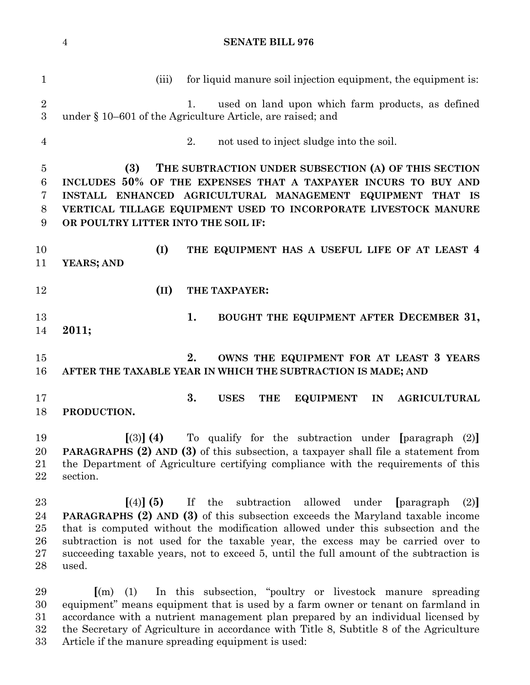| $\mathbf{1}$    | for liquid manure soil injection equipment, the equipment is:<br>(iii)                                                |
|-----------------|-----------------------------------------------------------------------------------------------------------------------|
| $\sqrt{2}$<br>3 | used on land upon which farm products, as defined<br>1.<br>under § 10–601 of the Agriculture Article, are raised; and |
| $\overline{4}$  | 2.<br>not used to inject sludge into the soil.                                                                        |
| $\overline{5}$  | THE SUBTRACTION UNDER SUBSECTION (A) OF THIS SECTION<br>(3)                                                           |
| $6\phantom{.}6$ | INCLUDES 50% OF THE EXPENSES THAT A TAXPAYER INCURS TO BUY AND                                                        |
| 7               | INSTALL ENHANCED AGRICULTURAL MANAGEMENT EQUIPMENT THAT IS                                                            |
| 8               | VERTICAL TILLAGE EQUIPMENT USED TO INCORPORATE LIVESTOCK MANURE                                                       |
| 9               | OR POULTRY LITTER INTO THE SOIL IF:                                                                                   |
| 10              | (I)<br>THE EQUIPMENT HAS A USEFUL LIFE OF AT LEAST 4                                                                  |
| 11              | YEARS; AND                                                                                                            |
| 12              | (II)<br>THE TAXPAYER:                                                                                                 |
| 13              | 1.<br>BOUGHT THE EQUIPMENT AFTER DECEMBER 31,                                                                         |
| 14              | 2011;                                                                                                                 |
| 15              | OWNS THE EQUIPMENT FOR AT LEAST 3 YEARS<br>2.                                                                         |
| 16              | AFTER THE TAXABLE YEAR IN WHICH THE SUBTRACTION IS MADE; AND                                                          |
| 17              | 3.<br><b>USES</b><br><b>EQUIPMENT</b><br><b>THE</b><br>IN<br><b>AGRICULTURAL</b>                                      |
| 18              | PRODUCTION.                                                                                                           |
| 19              | To qualify for the subtraction under [paragraph (2)]<br>$(3)$ (4)                                                     |
| 20              | <b>PARAGRAPHS (2) AND (3)</b> of this subsection, a taxpayer shall file a statement from                              |
| 21              | the Department of Agriculture certifying compliance with the requirements of this                                     |
| 22              | section.                                                                                                              |
| 23              | If the<br>subtraction<br>allowed<br>$[(4)]$ (5)<br>under<br>paragraph<br>(2)                                          |
| 24              | <b>PARAGRAPHS (2) AND (3)</b> of this subsection exceeds the Maryland taxable income                                  |
| 25              | that is computed without the modification allowed under this subsection and the                                       |
| 26              | subtraction is not used for the taxable year, the excess may be carried over to                                       |
| 27              | succeeding taxable years, not to exceed 5, until the full amount of the subtraction is                                |

 **[**(m) (1) In this subsection, "poultry or livestock manure spreading equipment" means equipment that is used by a farm owner or tenant on farmland in accordance with a nutrient management plan prepared by an individual licensed by the Secretary of Agriculture in accordance with Title 8, Subtitle 8 of the Agriculture Article if the manure spreading equipment is used:

used.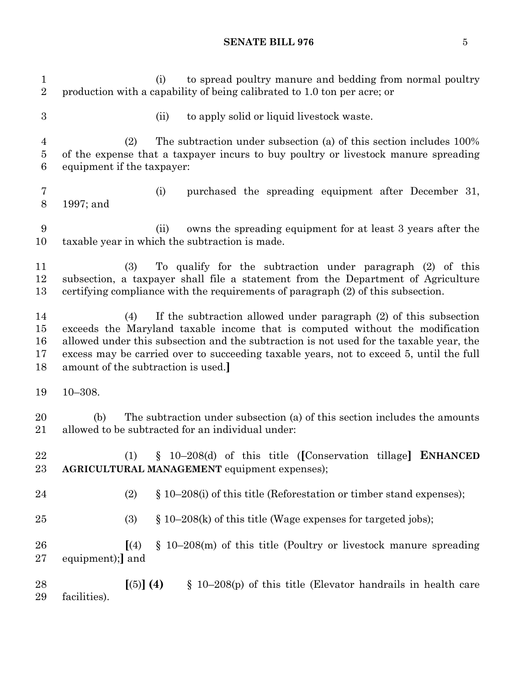#### **SENATE BILL 976** 5

1 (i) to spread poultry manure and bedding from normal poultry production with a capability of being calibrated to 1.0 ton per acre; or (ii) to apply solid or liquid livestock waste. (2) The subtraction under subsection (a) of this section includes 100% of the expense that a taxpayer incurs to buy poultry or livestock manure spreading equipment if the taxpayer: (i) purchased the spreading equipment after December 31, 1997; and (ii) owns the spreading equipment for at least 3 years after the taxable year in which the subtraction is made. (3) To qualify for the subtraction under paragraph (2) of this subsection, a taxpayer shall file a statement from the Department of Agriculture certifying compliance with the requirements of paragraph (2) of this subsection. (4) If the subtraction allowed under paragraph (2) of this subsection exceeds the Maryland taxable income that is computed without the modification allowed under this subsection and the subtraction is not used for the taxable year, the excess may be carried over to succeeding taxable years, not to exceed 5, until the full amount of the subtraction is used.**]** 10–308. (b) The subtraction under subsection (a) of this section includes the amounts allowed to be subtracted for an individual under: (1) § 10–208(d) of this title (**[**Conservation tillage**] ENHANCED AGRICULTURAL MANAGEMENT** equipment expenses); 24 (2)  $\S 10-208(i)$  of this title (Reforestation or timber stand expenses); 25 (3) § 10–208(k) of this title (Wage expenses for targeted jobs); **[**(4) § 10–208(m) of this title (Poultry or livestock manure spreading equipment);**]** and **[**(5)**] (4)** § 10–208(p) of this title (Elevator handrails in health care facilities).